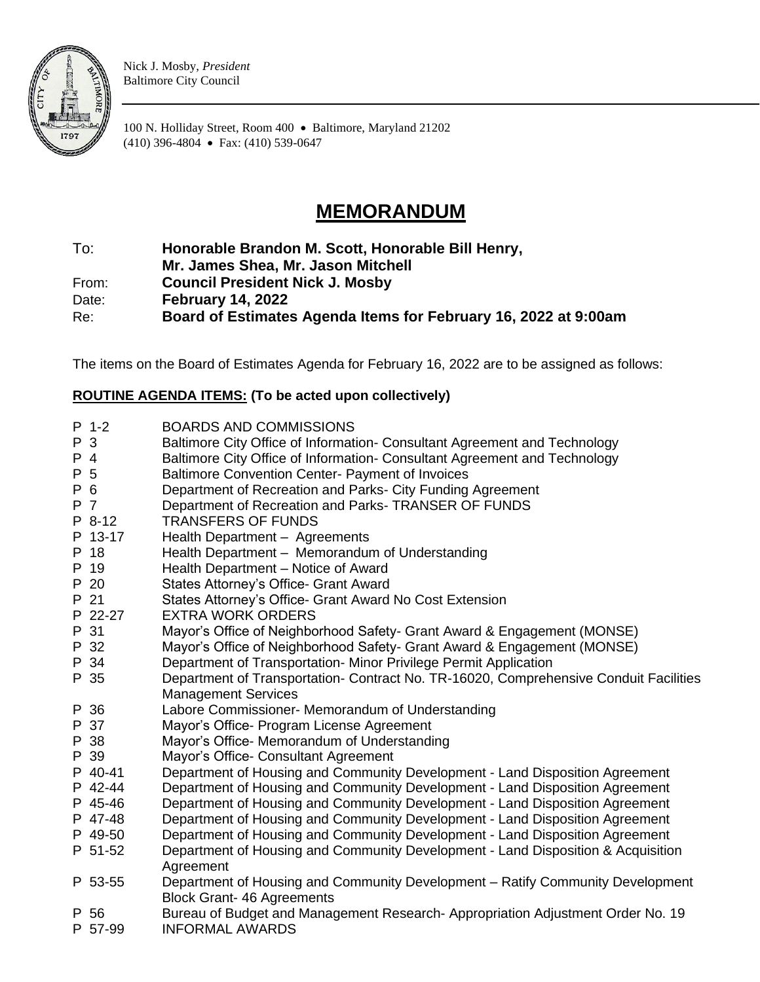

Nick J. Mosby, *President* Baltimore City Council

100 N. Holliday Street, Room 400 • Baltimore, Maryland 21202 (410) 396-4804 • Fax: (410) 539-0647

## **MEMORANDUM**

## To: **Honorable Brandon M. Scott, Honorable Bill Henry,**

**Mr. James Shea, Mr. Jason Mitchell**

From: **Council President Nick J. Mosby**

Date: **February 14, 2022**

Re: **Board of Estimates Agenda Items for February 16, 2022 at 9:00am**

The items on the Board of Estimates Agenda for February 16, 2022 are to be assigned as follows:

## **ROUTINE AGENDA ITEMS: (To be acted upon collectively)**

|     | $P$ 1-2        | <b>BOARDS AND COMMISSIONS</b>                                                         |
|-----|----------------|---------------------------------------------------------------------------------------|
| P 3 |                | Baltimore City Office of Information- Consultant Agreement and Technology             |
| P 4 |                | Baltimore City Office of Information- Consultant Agreement and Technology             |
| P 5 |                | Baltimore Convention Center- Payment of Invoices                                      |
| P 6 |                | Department of Recreation and Parks- City Funding Agreement                            |
| P 7 |                | Department of Recreation and Parks- TRANSER OF FUNDS                                  |
|     | P 8-12         | <b>TRANSFERS OF FUNDS</b>                                                             |
|     | P 13-17        | Health Department - Agreements                                                        |
|     | P 18           | Health Department - Memorandum of Understanding                                       |
|     | P 19           | Health Department - Notice of Award                                                   |
|     | P 20           | States Attorney's Office- Grant Award                                                 |
|     | P 21           | States Attorney's Office- Grant Award No Cost Extension                               |
|     | P 22-27        | <b>EXTRA WORK ORDERS</b>                                                              |
|     | P 31           | Mayor's Office of Neighborhood Safety- Grant Award & Engagement (MONSE)               |
|     | P 32           | Mayor's Office of Neighborhood Safety- Grant Award & Engagement (MONSE)               |
|     | P 34           | Department of Transportation- Minor Privilege Permit Application                      |
|     | P 35           | Department of Transportation- Contract No. TR-16020, Comprehensive Conduit Facilities |
|     |                | <b>Management Services</b>                                                            |
|     | P 36           | Labore Commissioner- Memorandum of Understanding                                      |
|     | P 37           | Mayor's Office- Program License Agreement                                             |
|     | P 38           | Mayor's Office- Memorandum of Understanding                                           |
|     | P 39           | Mayor's Office- Consultant Agreement                                                  |
|     | P 40-41        | Department of Housing and Community Development - Land Disposition Agreement          |
|     | P 42-44        | Department of Housing and Community Development - Land Disposition Agreement          |
|     | P 45-46        | Department of Housing and Community Development - Land Disposition Agreement          |
|     | P 47-48        | Department of Housing and Community Development - Land Disposition Agreement          |
|     | P 49-50        | Department of Housing and Community Development - Land Disposition Agreement          |
|     | P 51-52        | Department of Housing and Community Development - Land Disposition & Acquisition      |
|     |                | Agreement                                                                             |
|     | P 53-55        | Department of Housing and Community Development - Ratify Community Development        |
|     |                | <b>Block Grant- 46 Agreements</b>                                                     |
|     | P 56           | Bureau of Budget and Management Research-Appropriation Adjustment Order No. 19        |
|     | <b>P</b> 57.00 | INFORMAL AWARDS                                                                       |

P 57-99 INFORMAL AWARDS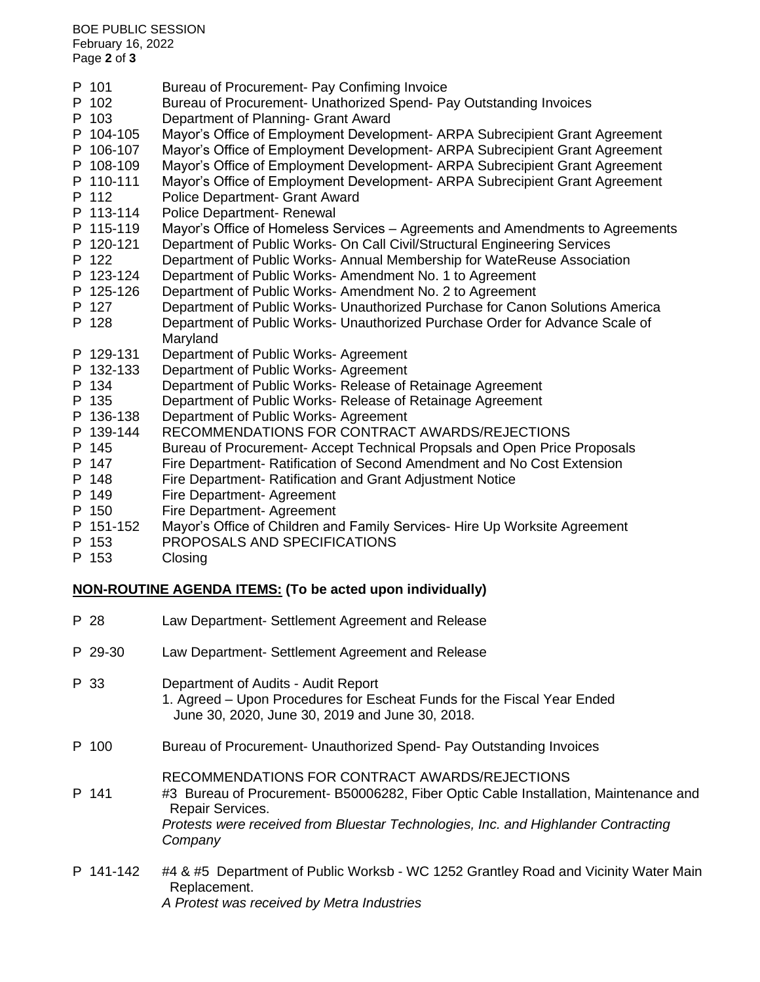BOE PUBLIC SESSION February 16, 2022 Page **2** of **3**

| Police Department- Grant Award<br>P 112<br>P 113-114<br>Police Department- Renewal<br>P 115-119<br>Mayor's Office of Homeless Services - Agreements and Amendments to Agreements<br>Department of Public Works- On Call Civil/Structural Engineering Services<br>P 120-121<br>Department of Public Works- Annual Membership for WateReuse Association<br>P 122<br>Department of Public Works- Amendment No. 1 to Agreement<br>P 123-124<br>Department of Public Works- Amendment No. 2 to Agreement<br>P 125-126<br>Department of Public Works- Unauthorized Purchase for Canon Solutions America<br>P 127<br>Department of Public Works- Unauthorized Purchase Order for Advance Scale of<br>P 128 |  |
|-----------------------------------------------------------------------------------------------------------------------------------------------------------------------------------------------------------------------------------------------------------------------------------------------------------------------------------------------------------------------------------------------------------------------------------------------------------------------------------------------------------------------------------------------------------------------------------------------------------------------------------------------------------------------------------------------------|--|
|                                                                                                                                                                                                                                                                                                                                                                                                                                                                                                                                                                                                                                                                                                     |  |
|                                                                                                                                                                                                                                                                                                                                                                                                                                                                                                                                                                                                                                                                                                     |  |
|                                                                                                                                                                                                                                                                                                                                                                                                                                                                                                                                                                                                                                                                                                     |  |
|                                                                                                                                                                                                                                                                                                                                                                                                                                                                                                                                                                                                                                                                                                     |  |
|                                                                                                                                                                                                                                                                                                                                                                                                                                                                                                                                                                                                                                                                                                     |  |
|                                                                                                                                                                                                                                                                                                                                                                                                                                                                                                                                                                                                                                                                                                     |  |
|                                                                                                                                                                                                                                                                                                                                                                                                                                                                                                                                                                                                                                                                                                     |  |
| Maryland                                                                                                                                                                                                                                                                                                                                                                                                                                                                                                                                                                                                                                                                                            |  |
| P 129-131<br>Department of Public Works-Agreement                                                                                                                                                                                                                                                                                                                                                                                                                                                                                                                                                                                                                                                   |  |
| P 132-133<br>Department of Public Works- Agreement                                                                                                                                                                                                                                                                                                                                                                                                                                                                                                                                                                                                                                                  |  |
| Department of Public Works- Release of Retainage Agreement<br>P 134                                                                                                                                                                                                                                                                                                                                                                                                                                                                                                                                                                                                                                 |  |
| Department of Public Works- Release of Retainage Agreement<br>P 135                                                                                                                                                                                                                                                                                                                                                                                                                                                                                                                                                                                                                                 |  |
| P 136-138<br>Department of Public Works- Agreement                                                                                                                                                                                                                                                                                                                                                                                                                                                                                                                                                                                                                                                  |  |
| P 139-144<br>RECOMMENDATIONS FOR CONTRACT AWARDS/REJECTIONS                                                                                                                                                                                                                                                                                                                                                                                                                                                                                                                                                                                                                                         |  |
| Bureau of Procurement- Accept Technical Propsals and Open Price Proposals<br>P 145                                                                                                                                                                                                                                                                                                                                                                                                                                                                                                                                                                                                                  |  |
| P 147<br>Fire Department- Ratification of Second Amendment and No Cost Extension                                                                                                                                                                                                                                                                                                                                                                                                                                                                                                                                                                                                                    |  |
| P 148<br>Fire Department- Ratification and Grant Adjustment Notice                                                                                                                                                                                                                                                                                                                                                                                                                                                                                                                                                                                                                                  |  |
| P 149<br>Fire Department- Agreement                                                                                                                                                                                                                                                                                                                                                                                                                                                                                                                                                                                                                                                                 |  |
| Fire Department- Agreement<br>P 150                                                                                                                                                                                                                                                                                                                                                                                                                                                                                                                                                                                                                                                                 |  |
| Mayor's Office of Children and Family Services- Hire Up Worksite Agreement<br>P 151-152<br>PROPOSALS AND SPECIFICATIONS<br>P 153                                                                                                                                                                                                                                                                                                                                                                                                                                                                                                                                                                    |  |
| P 153<br>Closing                                                                                                                                                                                                                                                                                                                                                                                                                                                                                                                                                                                                                                                                                    |  |

## **NON-ROUTINE AGENDA ITEMS: (To be acted upon individually)**

| P 28      | Law Department- Settlement Agreement and Release                                                                                                                                                                                                            |
|-----------|-------------------------------------------------------------------------------------------------------------------------------------------------------------------------------------------------------------------------------------------------------------|
| P 29-30   | Law Department- Settlement Agreement and Release                                                                                                                                                                                                            |
| P 33      | Department of Audits - Audit Report<br>1. Agreed – Upon Procedures for Escheat Funds for the Fiscal Year Ended<br>June 30, 2020, June 30, 2019 and June 30, 2018.                                                                                           |
| P 100     | Bureau of Procurement- Unauthorized Spend- Pay Outstanding Invoices                                                                                                                                                                                         |
| P 141     | RECOMMENDATIONS FOR CONTRACT AWARDS/REJECTIONS<br>#3 Bureau of Procurement- B50006282, Fiber Optic Cable Installation, Maintenance and<br>Repair Services.<br>Protests were received from Bluestar Technologies, Inc. and Highlander Contracting<br>Company |
| P 141-142 | #4 & #5 Department of Public Worksb - WC 1252 Grantley Road and Vicinity Water Main<br>Replacement.<br>A Protest was received by Metra Industries                                                                                                           |